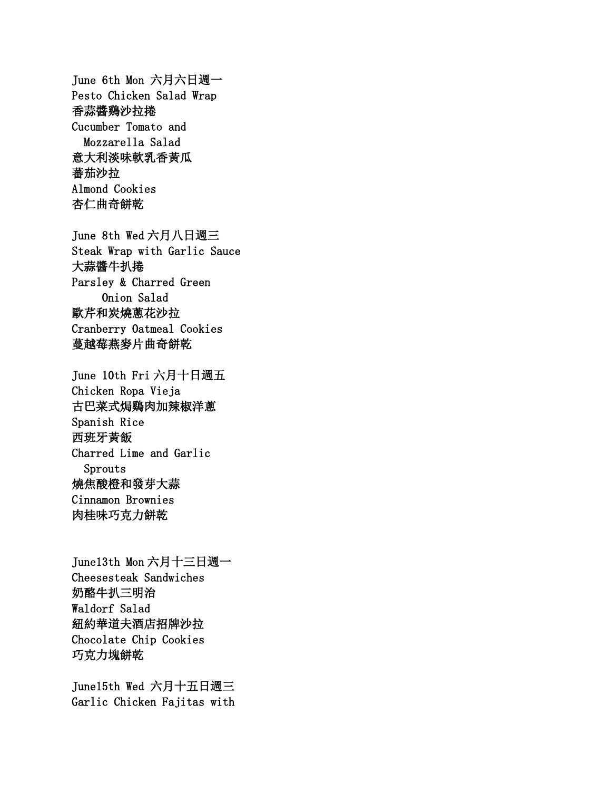June 6th Mon 六月六日週一 Pesto Chicken Salad Wrap 香蒜醬鷄沙拉捲 Cucumber Tomato and Mozzarella Salad 意大利淡味軟乳香黃瓜 蕃茄沙拉 Almond Cookies 杏仁曲奇餅乾

June 8th Wed 六月八日週三 Steak Wrap with Garlic Sauce 大蒜醬牛扒捲 Parsley & Charred Green Onion Salad 歐芹和炭燒蔥花沙拉 Cranberry Oatmeal Cookies 蔓越莓燕麥片曲奇餅乾

June 10th Fri 六月十日週五 Chicken Ropa Vieja 古巴菜式焗鷄肉加辣椒洋蔥 Spanish Rice 西班牙黃飯 Charred Lime and Garlic Sprouts 燒焦酸橙和發芽大蒜 Cinnamon Brownies 肉桂味巧克力餅乾

June13th Mon 六月十三日週一 Cheesesteak Sandwiches 奶酪牛扒三明治 Waldorf Salad 紐約華道夫酒店招牌沙拉 Chocolate Chip Cookies 巧克力塊餅乾

June15th Wed 六月十五日週三 Garlic Chicken Fajitas with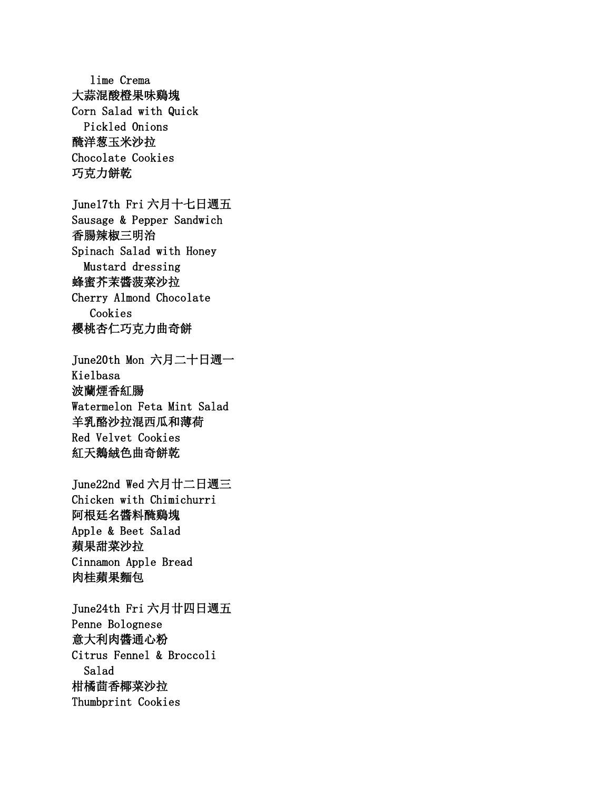lime Crema 大蒜混酸橙果味鷄塊 Corn Salad with Quick Pickled Onions 醃洋葱玉米沙拉 Chocolate Cookies 巧克力餅乾 June17th Fri 六月十七日週五 Sausage & Pepper Sandwich 香腸辣椒三明治 Spinach Salad with Honey Mustard dressing 蜂蜜芥茉醬菠菜沙拉 Cherry Almond Chocolate Cookies 櫻桃杏仁巧克力曲奇餅 June20th Mon 六月二十日週一 Kielbasa 波蘭煙香紅腸 Watermelon Feta Mint Salad 羊乳酪沙拉混西瓜和薄荷 Red Velvet Cookies 紅天鵝絨色曲奇餅乾 June22nd Wed 六月廿二日週三 Chicken with Chimichurri 阿根廷名醬料醃鷄塊 Apple & Beet Salad 蘋果甜菜沙拉 Cinnamon Apple Bread 肉桂蘋果麵包 June24th Fri 六月廿四日週五 Penne Bolognese 意大利肉醬通心粉

Citrus Fennel & Broccoli Salad 柑橘茴香椰菜沙拉 Thumbprint Cookies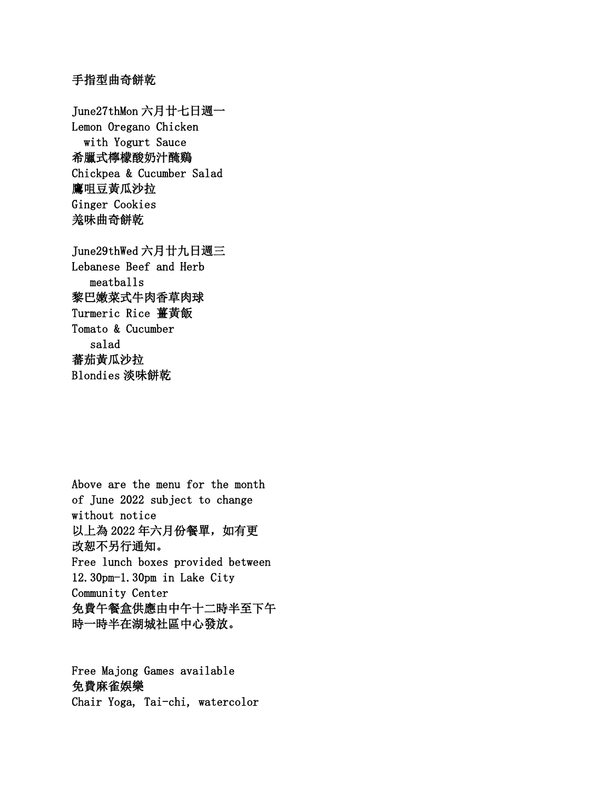## 手指型曲奇餅乾

June27thMon 六月廿七日週一 Lemon Oregano Chicken with Yogurt Sauce 希臘式檸檬酸奶汁醃鷄 Chickpea & Cucumber Salad 鷹咀豆黃瓜沙拉 Ginger Cookies 羗味曲奇餅乾

June29thWed 六月廿九日週三 Lebanese Beef and Herb meatballs 黎巴嫩菜式牛肉香草肉球 Turmeric Rice 薑黃飯 Tomato & Cucumber salad 蕃茄黃瓜沙拉 Blondies 淡味餅乾

Above are the menu for the month of June 2022 subject to change without notice 以上為 2022 年六月份餐單,如有更 改恕不另行通知。 Free lunch boxes provided between 12.30pm-1.30pm in Lake City Community Center 免費午餐盒供應由中午十二時半至下午 時一時半在湖城社區中心發放。

Free Majong Games available 免費麻雀娛樂 Chair Yoga, Tai-chi, watercolor